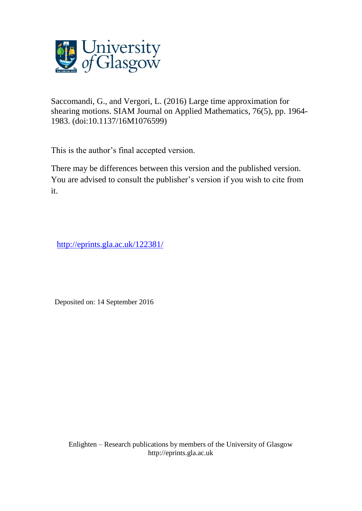

Saccomandi, G., and Vergori, L. (2016) Large time approximation for shearing motions. SIAM Journal on Applied Mathematics, 76(5), pp. 1964- 1983. (doi:10.1137/16M1076599)

This is the author's final accepted version.

There may be differences between this version and the published version. You are advised to consult the publisher's version if you wish to cite from it.

<http://eprints.gla.ac.uk/122381/>

Deposited on: 14 September 2016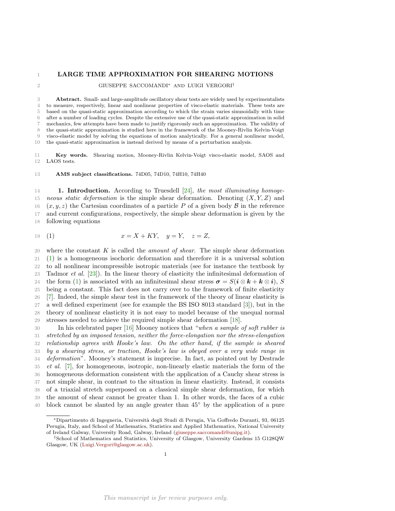# 1 LARGE TIME APPROXIMATION FOR SHEARING MOTIONS

## $\,$  GIUSEPPE SACCOMANDI\* AND LUIGI VERGORI $^\dagger$

 Abstract. Small- and large-amplitude oscillatory shear tests are widely used by experimentalists to measure, respectively, linear and nonlinear properties of visco-elastic materials. These tests are based on the quasi-static approximation according to which the strain varies sinusoidally with time after a number of loading cycles. Despite the extensive use of the quasi-static approximation in solid mechanics, few attempts have been made to justify rigorously such an approximation. The validity of the quasi-static approximation is studied here in the framework of the Mooney-Rivlin Kelvin-Voigt visco-elastic model by solving the equations of motion analytically. For a general nonlinear model, the quasi-static approximation is instead derived by means of a perturbation analysis.

 Key words. Shearing motion, Mooney-Rivlin Kelvin-Voigt visco-elastic model, SAOS and LAOS tests.

## AMS subject classifications. 74D05, 74D10, 74H10, 74H40

**1. Introduction.** According to Truesdell [\[24\]](#page-20-0), the most illuminating homoge-15 neous static deformation is the simple shear deformation. Denoting  $(X, Y, Z)$  and 16  $(x, y, z)$  the Cartesian coordinates of a particle P of a given body B in the reference<br>17 and current configurations, respectively, the simple shear deformation is given by the and current configurations, respectively, the simple shear deformation is given by the following equations

<span id="page-1-0"></span>19 (1) 
$$
x = X + KY, \quad y = Y, \quad z = Z,
$$

20 where the constant K is called the *amount of shear*. The simple shear deformation [\(1\)](#page-1-0) is a homogeneous isochoric deformation and therefore it is a universal solution to all nonlinear incompressible isotropic materials (see for instance the textbook by Tadmor et al. [\[23\]](#page-20-1)). In the linear theory of elasticity the infinitesimal deformation of 24 the form [\(1\)](#page-1-0) is associated with an infinitesimal shear stress  $\sigma = S(i \otimes k + k \otimes i)$ , S<br>25 being a constant. This fact does not carry over to the framework of finite elasticity being a constant. This fact does not carry over to the framework of finite elasticity [\[7\]](#page-19-0). Indeed, the simple shear test in the framework of the theory of linear elasticity is a well defined experiment (see for example the BS ISO 8013 standard [\[3\]](#page-19-1)), but in the theory of nonlinear elasticity it is not easy to model because of the unequal normal stresses needed to achieve the required simple shear deformation [\[18\]](#page-20-2).

 In his celebrated paper [\[16\]](#page-20-3) Mooney notices that "when a sample of soft rubber is stretched by an imposed tension, neither the force-elongation nor the stress-elongation relationship agrees with Hooke's law. On the other hand, if the sample is sheared by a shearing stress, or traction, Hooke's law is obeyed over a very wide range in deformation". Mooney's statement is imprecise. In fact, as pointed out by Destrade et al. [\[7\]](#page-19-0), for homogeneous, isotropic, non-linearly elastic materials the form of the homogeneous deformation consistent with the application of a Cauchy shear stress is not simple shear, in contrast to the situation in linear elasticity. Instead, it consists of a triaxial stretch superposed on a classical simple shear deformation, for which the amount of shear cannot be greater than 1. In other words, the faces of a cubic 40 block cannot be slanted by an angle greater than 45<sup>°</sup> by the application of a pure

<sup>∗</sup>Dipartimento di Ingegneria, Universit`a degli Studi di Perugia, Via Goffredo Duranti, 93, 06125 Perugia, Italy, and School of Mathematics, Statistics and Applied Mathematics, National University of Ireland Galway, University Road, Galway, Ireland [\(giuseppe.saccomandi@unipg.it\)](mailto:giuseppe.saccomandi@unipg.it).

<sup>†</sup>School of Mathematics and Statistics, University of Glasgow, University Gardens 15 G128QW Glasgow, UK [\(Luigi.Vergori@glasgow.ac.uk\)](mailto:Luigi.Vergori@glasgow.ac.uk).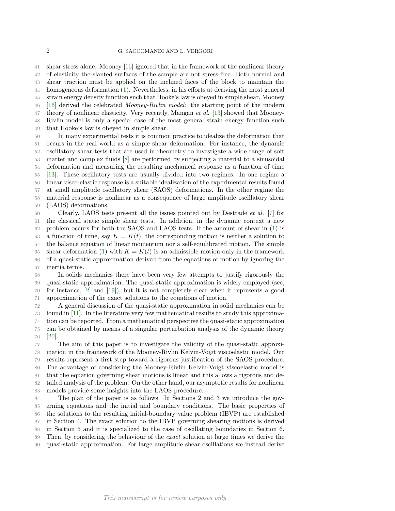shear stress alone. Mooney [\[16\]](#page-20-3) ignored that in the framework of the nonlinear theory of elasticity the slanted surfaces of the sample are not stress-free. Both normal and shear traction must be applied on the inclined faces of the block to maintain the homogeneous deformation [\(1\)](#page-1-0). Nevertheless, in his efforts at deriving the most general strain energy density function such that Hooke's law is obeyed in simple shear, Mooney [\[16\]](#page-20-3) derived the celebrated Mooney-Rivlin model: the starting point of the modern 47 theory of nonlinear elasticity. Very recently, Mangan *et al.* [\[13\]](#page-20-4) showed that Mooney- Rivlin model is only a special case of the most general strain energy function such that Hooke's law is obeyed in simple shear.

 In many experimental tests it is common practice to idealize the deformation that occurs in the real world as a simple shear deformation. For instance, the dynamic oscillatory shear tests that are used in rheometry to investigate a wide range of soft matter and complex fluids [\[8\]](#page-19-2) are performed by subjecting a material to a sinusoidal deformation and measuring the resulting mechanical response as a function of time [\[13\]](#page-20-4). These oscillatory tests are usually divided into two regimes. In one regime a linear visco-elastic response is a suitable idealization of the experimental results found at small amplitude oscillatory shear (SAOS) deformations. In the other regime the material response is nonlinear as a consequence of large amplitude oscillatory shear (LAOS) deformations.

 Clearly, LAOS tests present all the issues pointed out by Destrade et al. [\[7\]](#page-19-0) for the classical static simple shear tests. In addition, in the dynamic context a new problem occurs for both the SAOS and LAOS tests. If the amount of shear in [\(1\)](#page-1-0) is 63 a function of time, say  $K = K(t)$ , the corresponding motion is neither a solution to the balance equation of linear momentum nor a self-equilibrated motion. The simple 65 shear deformation [\(1\)](#page-1-0) with  $K = K(t)$  is an admissible motion only in the framework of a quasi-static approximation derived from the equations of motion by ignoring the inertia terms.

 In solids mechanics there have been very few attempts to justify rigorously the quasi-static approximation. The quasi-static approximation is widely employed (see, for instance, [\[2\]](#page-19-3) and [\[19\]](#page-20-5)), but it is not completely clear when it represents a good approximation of the exact solutions to the equations of motion.

 A general discussion of the quasi-static approximation in solid mechanics can be found in [\[11\]](#page-19-4). In the literature very few mathematical results to study this approxima- tion can be reported. From a mathematical perspective the quasi-static approximation can be obtained by means of a singular perturbation analysis of the dynamic theory [\[20\]](#page-20-6).

 The aim of this paper is to investigate the validity of the quasi-static approxi- mation in the framework of the Mooney-Rivlin Kelvin-Voigt viscoelastic model. Our results represent a first step toward a rigorous justification of the SAOS procedure. The advantage of considering the Mooney-Rivlin Kelvin-Voigt viscoelastic model is that the equation governing shear motions is linear and this allows a rigorous and de- tailed analysis of the problem. On the other hand, our asymptotic results for nonlinear models provide some insights into the LAOS procedure.

 The plan of the paper is as follows. In Sections 2 and 3 we introduce the gov- erning equations and the initial and boundary conditions. The basic properties of the solutions to the resulting initial-boundary value problem (IBVP) are established in Section 4. The exact solution to the IBVP governing shearing motions is derived in Section 5 and it is specialized to the case of oscillating boundaries in Section 6. Then, by considering the behaviour of the exact solution at large times we derive the quasi-static approximation. For large amplitude shear oscillations we instead derive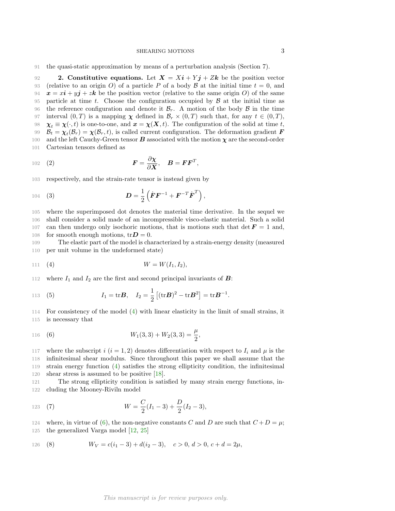91 the quasi-static approximation by means of a perturbation analysis (Section 7).

92 2. Constitutive equations. Let  $X = X\mathbf{i} + Y\mathbf{j} + Z\mathbf{k}$  be the position vector 93 (relative to an origin O) of a particle P of a body B at the initial time  $t = 0$ , and  $\mathbf{x} = x\mathbf{i} + y\mathbf{j} + z\mathbf{k}$  be the position vector (relative to the same origin O) of the same  $x = xi + yj + zk$  be the position vector (relative to the same origin O) of the same 95 particle at time t. Choose the configuration occupied by  $\beta$  at the initial time as the reference configuration and denote it  $\beta_{\rm m}$ . A motion of the body  $\beta$  in the time 96 the reference configuration and denote it  $\mathcal{B}_r$ . A motion of the body  $\mathcal{B}$  in the time<br>97 interval  $(0,T)$  is a mapping  $\chi$  defined in  $\mathcal{B}_r \times (0,T)$  such that, for any  $t \in (0,T)$ . 97 interval  $(0, T)$  is a mapping  $\chi$  defined in  $\mathcal{B}_r \times (0, T)$  such that, for any  $t \in (0, T)$ ,<br>98  $\chi_t \equiv \chi(\cdot, t)$  is one-to-one, and  $\mathbf{x} = \chi(\mathbf{X}, t)$ . The configuration of the solid at time t. 98  $\chi_t \equiv \chi(\cdot, t)$  is one-to-one, and  $x = \chi(X, t)$ . The configuration of the solid at time t, <br>99  $\mathcal{B}_t = \chi_t(\mathcal{B}_r) = \chi(\mathcal{B}_r, t)$ , is called current configuration. The deformation gradient **F** 99  $B_t = \chi_t(B_r) = \chi(B_r, t)$ , is called current configuration. The deformation gradient **F** 100 and the left Cauchy-Green tensor **B** associated with the motion  $\chi$  are the second-order 101 Cartesian tensors defined as

$$
I^{102} \quad (2) \quad F = \frac{\partial \chi}{\partial X}, \quad B = \boldsymbol{F} \boldsymbol{F}^T,
$$

103 respectively, and the strain-rate tensor is instead given by

104 (3) 
$$
D = \frac{1}{2} \left( \dot{F} F^{-1} + F^{-T} \dot{F}^{T} \right),
$$

105 where the superimposed dot denotes the material time derivative. In the sequel we 106 shall consider a solid made of an incompressible visco-elastic material. Such a solid 107 can then undergo only isochoric motions, that is motions such that det  $\mathbf{F} = 1$  and, 108 for smooth enough motions,  $tr\mathbf{D} = 0$ .

109 The elastic part of the model is characterized by a strain-energy density (measured 110 per unit volume in the undeformed state)

<span id="page-3-0"></span>
$$
111 \t(4) \t W = W(I_1, I_2),
$$

112 where  $I_1$  and  $I_2$  are the first and second principal invariants of **B**:

113 (5) 
$$
I_1 = \text{tr} \mathbf{B}, \quad I_2 = \frac{1}{2} [(\text{tr} \mathbf{B})^2 - \text{tr} \mathbf{B}^2] = \text{tr} \mathbf{B}^{-1}.
$$

114 For consistency of the model [\(4\)](#page-3-0) with linear elasticity in the limit of small strains, it 115 is necessary that

<span id="page-3-1"></span>116 (6) 
$$
W_1(3,3) + W_2(3,3) = \frac{\mu}{2},
$$

117 where the subscript i  $(i = 1, 2)$  denotes differentiation with respect to  $I_i$  and  $\mu$  is the infinitesimal shear modulus. Since throughout this paper we shall assume that the strain energy function [\(4\)](#page-3-0) satisfies the strong ellipticity condition, the infinitesimal shear stress is assumed to be positive [\[18\]](#page-20-2).

121 The strong ellipticity condition is satisfied by many strain energy functions, in-122 cluding the Mooney-Riviln model

<span id="page-3-2"></span>123 (7) 
$$
W = \frac{C}{2}(I_1 - 3) + \frac{D}{2}(I_2 - 3),
$$

124 where, in virtue of [\(6\)](#page-3-1), the non-negative constants C and D are such that  $C+D=\mu$ ;

125 the generalized Varga model [\[12,](#page-19-5) [25\]](#page-20-7)

126 (8) 
$$
W_V = c(i_1 - 3) + d(i_2 - 3), \quad c > 0, d > 0, c + d = 2\mu,
$$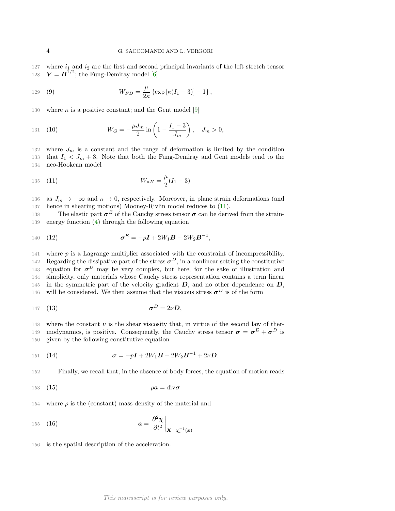127 where  $i_1$  and  $i_2$  are the first and second principal invariants of the left stretch tensor 128  $V = B^{1/2}$ ; the Fung-Demiray model [\[6\]](#page-19-6)

129 (9) 
$$
W_{FD} = \frac{\mu}{2\kappa} \left\{ \exp \left[ \kappa (I_1 - 3) \right] - 1 \right\},
$$

130 where  $\kappa$  is a positive constant; and the Gent model [\[9\]](#page-19-7)

131 (10) 
$$
W_G = -\frac{\mu J_m}{2} \ln \left( 1 - \frac{I_1 - 3}{J_m} \right), \quad J_m > 0,
$$

132 where  $J_m$  is a constant and the range of deformation is limited by the condition 133 that  $I_1 < J_m + 3$ . Note that both the Fung-Demiray and Gent models tend to the 134 neo-Hookean model

<span id="page-4-0"></span>135 (11) 
$$
W_{nH} = \frac{\mu}{2}(I_1 - 3)
$$

136 as  $J_m \to +\infty$  and  $\kappa \to 0$ , respectively. Moreover, in plane strain deformations (and 137 hence in shearing motions) Mooney-Rivlin model reduces to [\(11\)](#page-4-0).

138 The elastic part  $\sigma^E$  of the Cauchy stress tensor  $\sigma$  can be derived from the strain-139 energy function [\(4\)](#page-3-0) through the following equation

140 (12) 
$$
\sigma^{E} = -pI + 2W_1B - 2W_2B^{-1},
$$

141 where p is a Lagrange multiplier associated with the constraint of incompressibility. 142 Regarding the dissipative part of the stress  $\sigma^D$ , in a nonlinear setting the constitutive 143 equation for  $\sigma^D$  may be very complex, but here, for the sake of illustration and 144 simplicity, only materials whose Cauchy stress representation contains a term linear 145 in the symmetric part of the velocity gradient  $D$ , and no other dependence on  $D$ , 146 will be considered. We then assume that the viscous stress  $\sigma^D$  is of the form

$$
147 \quad (13) \qquad \qquad \sigma^D = 2\nu D,
$$

148 where the constant  $\nu$  is the shear viscosity that, in virtue of the second law of ther-149 modynamics, is positive. Consequently, the Cauchy stress tensor  $\sigma = \sigma^E + \sigma^D$  is 150 given by the following constitutive equation

<span id="page-4-1"></span>151 (14) 
$$
\sigma = -pI + 2W_1B - 2W_2B^{-1} + 2\nu D.
$$

152 Finally, we recall that, in the absence of body forces, the equation of motion reads

<span id="page-4-2"></span>
$$
153 \quad (15) \qquad \qquad \rho a = \text{div}\,\sigma
$$

154 where  $\rho$  is the (constant) mass density of the material and

$$
a = \frac{\partial^2 \chi}{\partial t^2}\bigg|_{\mathbf{X} = \mathbf{\chi}_t^{-1}(\mathbf{x})}
$$

156 is the spatial description of the acceleration.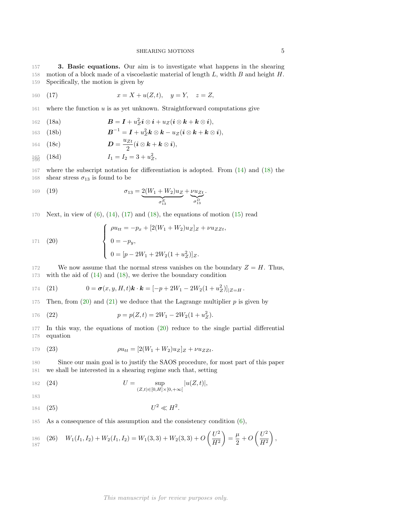157 3. Basic equations. Our aim is to investigate what happens in the shearing 158 motion of a block made of a viscoelastic material of length  $L$ , width  $B$  and height  $H$ . 159 Specifically, the motion is given by

<span id="page-5-1"></span>160 (17) 
$$
x = X + u(Z, t), y = Y, z = Z,
$$

<span id="page-5-0"></span>161 where the function  $u$  is as yet unknown. Straightforward computations give

162 (18a) 
$$
\mathbf{B} = \mathbf{I} + u_Z^2 \mathbf{i} \otimes \mathbf{i} + u_Z (\mathbf{i} \otimes \mathbf{k} + \mathbf{k} \otimes \mathbf{i}),
$$

163 (18b)  $\boldsymbol{B}^{-1} = \boldsymbol{I} + u_Z^2 \boldsymbol{k} \otimes \boldsymbol{k} - u_Z(\boldsymbol{i} \otimes \boldsymbol{k} + \boldsymbol{k} \otimes \boldsymbol{i}),$ 

164 (18c) 
$$
\mathbf{D} = \frac{u_{Zt}}{2} (\mathbf{i} \otimes \mathbf{k} + \mathbf{k} \otimes \mathbf{i}),
$$

$$
\frac{1}{180} \quad (18d) \qquad I_1 = I_2 = 3 + u_Z^2,
$$

167 where the subscript notation for differentiation is adopted. From [\(14\)](#page-4-1) and [\(18\)](#page-5-0) the 168 shear stress  $\sigma_{13}$  is found to be

169 (19) 
$$
\sigma_{13} = \underbrace{2(W_1 + W_2)u_Z}_{\sigma_{13}^E} + \underbrace{vu_{Zt}}_{\sigma_{13}^D}.
$$

170 Next, in view of  $(6)$ ,  $(14)$ ,  $(17)$  and  $(18)$ , the equations of motion  $(15)$  read

<span id="page-5-2"></span>171 (20)  

$$
\begin{cases}\n\rho u_{tt} = -p_x + [2(W_1 + W_2)u_Z]_Z + \nu u_{ZZt}, \\
0 = -p_y, \\
0 = [p - 2W_1 + 2W_2(1 + u_Z^2)]_Z.\n\end{cases}
$$

172 We now assume that the normal stress vanishes on the boundary  $Z = H$ . Thus, 173 with the aid of [\(14\)](#page-4-1) and [\(18\)](#page-5-0), we derive the boundary condition

<span id="page-5-3"></span>174 (21) 
$$
0 = \sigma(x, y, H, t) \mathbf{k} \cdot \mathbf{k} = [-p + 2W_1 - 2W_2(1 + u_Z^2)]_{|Z = H}.
$$

175 Then, from  $(20)$  and  $(21)$  we deduce that the Lagrange multiplier p is given by

176 (22) 
$$
p = p(Z, t) = 2W_1 - 2W_2(1 + u_Z^2).
$$

177 In this way, the equations of motion [\(20\)](#page-5-2) reduce to the single partial differential 178 equation

<span id="page-5-4"></span>179 (23) 
$$
\rho u_{tt} = [2(W_1 + W_2)u_Z]_Z + \nu u_{ZZt}.
$$

180 Since our main goal is to justify the SAOS procedure, for most part of this paper 181 we shall be interested in a shearing regime such that, setting

182 (24) 
$$
U = \sup_{(Z,t) \in [0,H] \times [0,+\infty[} |u(Z,t)|,
$$

183

<span id="page-5-5"></span>184 (25) 
$$
U^2 \ll H^2
$$
.

185 As a consequence of this assumption and the consistency condition [\(6\)](#page-3-1),

$$
{}_{186}^{186} (26) W_1(I_1,I_2) + W_2(I_1,I_2) = W_1(3,3) + W_2(3,3) + O\left(\frac{U^2}{H^2}\right) = \frac{\mu}{2} + O\left(\frac{U^2}{H^2}\right),
$$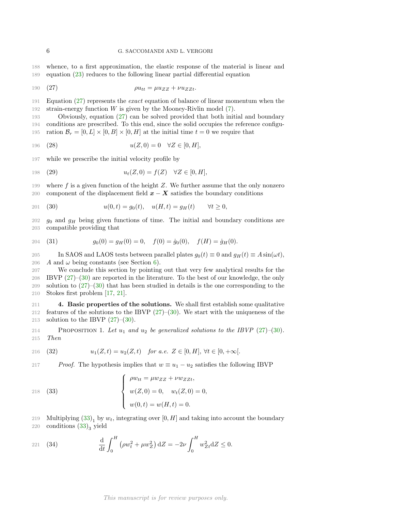188 whence, to a first approximation, the elastic response of the material is linear and 189 equation [\(23\)](#page-5-4) reduces to the following linear partial differential equation

<span id="page-6-0"></span>
$$
190 \quad (27) \qquad \qquad \rho u_{tt} = \mu u_{ZZ} + \nu u_{ZZt}.
$$

191 Equation [\(27\)](#page-6-0) represents the exact equation of balance of linear momentum when the 192 strain-energy function W is given by the Mooney-Rivlin model  $(7)$ .

193 Obviously, equation [\(27\)](#page-6-0) can be solved provided that both initial and boundary 194 conditions are prescribed. To this end, since the solid occupies the reference configu-195 ration  $\mathcal{B}_r = [0, L] \times [0, B] \times [0, H]$  at the initial time  $t = 0$  we require that

<span id="page-6-4"></span>196 (28) 
$$
u(Z,0) = 0 \quad \forall Z \in [0,H],
$$

197 while we prescribe the initial velocity profile by

198 (29) 
$$
u_t(Z,0) = f(Z) \quad \forall Z \in [0,H],
$$

199 where f is a given function of the height  $Z$ . We further assume that the only nonzero 200 component of the displacement field  $x - X$  satisfies the boundary conditions

<span id="page-6-1"></span>201 (30) 
$$
u(0,t) = g_0(t), \quad u(H,t) = g_H(t) \quad \forall t \ge 0,
$$

202  $g_0$  and  $g_H$  being given functions of time. The initial and boundary conditions are 203 compatible providing that

<span id="page-6-5"></span>204 (31) 
$$
g_0(0) = g_H(0) = 0, \quad f(0) = \dot{g}_0(0), \quad f(H) = \dot{g}_H(0).
$$

205 In SAOS and LAOS tests between parallel plates  $g_0(t) \equiv 0$  and  $g_H(t) \equiv A \sin(\omega t)$ ,<br>206 A and  $\omega$  being constants (see Section 6). A and  $\omega$  being constants (see Section [6\)](#page-10-0).

 We conclude this section by pointing out that very few analytical results for the IBVP [\(27\)](#page-6-0)–[\(30\)](#page-6-1) are reported in the literature. To the best of our knowledge, the only solution to [\(27\)](#page-6-0)–[\(30\)](#page-6-1) that has been studied in details is the one corresponding to the Stokes first problem [\[17,](#page-20-8) [21\]](#page-20-9).

211 4. Basic properties of the solutions. We shall first establish some qualitative 212 features of the solutions to the IBVP  $(27)$ – $(30)$ . We start with the uniqueness of the 213 solution to the IBVP  $(27)-(30)$  $(27)-(30)$ .

<span id="page-6-3"></span>214 PROPOSITION 1. Let  $u_1$  and  $u_2$  be generalized solutions to the IBVP [\(27\)](#page-6-0)–[\(30\)](#page-6-1). 215 Then

216 (32) 
$$
u_1(Z,t) = u_2(Z,t)
$$
 for a.e.  $Z \in [0, H]$ ,  $\forall t \in [0, +\infty[$ .

217 Proof. The hypothesis implies that  $w \equiv u_1 - u_2$  satisfies the following IBVP

(33) 
$$
\begin{cases} \rho w_{tt} = \mu w_{ZZ} + \nu w_{ZZt}, \\ w(Z,0) = 0, & w_t(Z,0) = 0, \\ w(0,t) = w(H,t) = 0. \end{cases}
$$

<span id="page-6-2"></span> $\overline{\phantom{a}}$ 

219 Multiplying  $(33)_1$  by  $w_t$ , integrating over  $[0, H]$  and taking into account the boundary 220 conditions  $(33)_3$  yield

221 (34) 
$$
\frac{d}{dt} \int_0^H (\rho w_t^2 + \mu w_Z^2) dZ = -2\nu \int_0^H w_{Zt}^2 dZ \le 0.
$$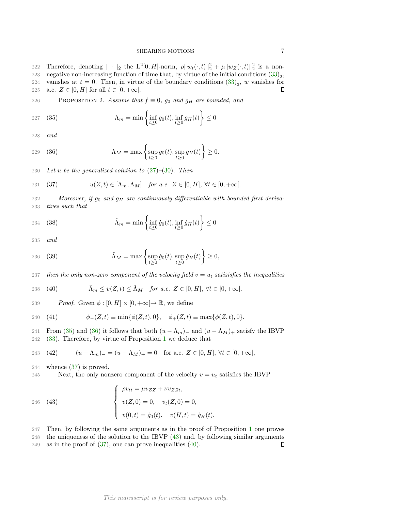222 Therefore, denoting  $\|\cdot\|_2$  the  $L^2[0, H]$ -norm,  $\rho \|w_t(\cdot, t)\|_2^2 + \mu \|w_Z(\cdot, t)\|_2^2$  is a non-223 negative non-increasing function of time that, by virtue of the initial conditions  $(33)_2$ , 224 vanishes at  $t = 0$ . Then, in virtue of the boundary conditions  $(33)_3$ , w vanishes for 225 a.e.  $Z \in [0, H]$  for all  $t \in [0, +\infty]$ .  $\Box$ 

226 PROPOSITION 2. Assume that  $f \equiv 0$ ,  $g_0$  and  $g_H$  are bounded, and

<span id="page-7-0"></span>
$$
227 \quad (35) \qquad \qquad \Lambda_m = \min\left\{\inf_{t\geq 0} g_0(t), \inf_{t\geq 0} g_H(t)\right\} \leq 0
$$

228 and

<span id="page-7-1"></span>
$$
229 \quad (36) \qquad \qquad \Lambda_M = \max\left\{\sup_{t\geq 0} g_0(t), \sup_{t\geq 0} g_H(t)\right\} \geq 0.
$$

230 Let u be the generalized solution to  $(27)$ – $(30)$ . Then

<span id="page-7-2"></span>231 (37) 
$$
u(Z,t) \in [\Lambda_m, \Lambda_M] \quad \text{for a.e. } Z \in [0,H], \forall t \in [0,+\infty[.
$$

232 Moreover, if  $g_0$  and  $g_H$  are continuously differentiable with bounded first deriva-233 tives such that

234 (38) 
$$
\tilde{\Lambda}_m = \min \left\{ \inf_{t \ge 0} \dot{g}_0(t), \inf_{t \ge 0} \dot{g}_H(t) \right\} \le 0
$$

235 and

$$
236 \quad (39) \qquad \qquad \tilde{\Lambda}_M = \max\left\{\sup_{t\geq 0} \dot{g}_0(t), \sup_{t\geq 0} \dot{g}_H(t)\right\} \geq 0,
$$

237 then the only non-zero component of the velocity field  $v = u_t$  satisisfies the inequalities

<span id="page-7-4"></span>238 (40) 
$$
\tilde{\Lambda}_m \le v(Z,t) \le \tilde{\Lambda}_M \quad \text{for a.e. } Z \in [0,H], \,\forall t \in [0,+\infty[.
$$

239 Proof. Given  $\phi : [0, H] \times [0, +\infty] \to \mathbb{R}$ , we define

240 (41) 
$$
\phi_-(Z,t) \equiv \min{\{\phi(Z,t),0\}}, \quad \phi_+(Z,t) \equiv \max{\{\phi(Z,t),0\}}.
$$

241 From [\(35\)](#page-7-0) and [\(36\)](#page-7-1) it follows that both  $(u - \Lambda_m)$  and  $(u - \Lambda_M)$ + satisfy the IBVP 242 (33). Therefore, by virtue of Proposition 1 we deduce that  $(33)$ . Therefore, by virtue of Proposition [1](#page-6-3) we deduce that

243 (42) 
$$
(u - \Lambda_m) = (u - \Lambda_M)_+ = 0
$$
 for a.e.  $Z \in [0, H]$ ,  $\forall t \in [0, +\infty]$ ,

244 whence [\(37\)](#page-7-2) is proved.

245 Next, the only nonzero component of the velocity  $v = u_t$  satisfies the IBVP

<span id="page-7-3"></span>(43) 
$$
\begin{cases} \rho v_{tt} = \mu v_{ZZ} + \nu v_{ZZt}, \\ v(Z,0) = 0, \quad v_t(Z,0) = 0, \\ v(0,t) = \dot{g}_0(t), \quad v(H,t) = \dot{g}_H(t). \end{cases}
$$

247 Then, by following the same arguments as in the proof of Proposition [1](#page-6-3) one proves 248 the uniqueness of the solution to the IBVP [\(43\)](#page-7-3) and, by following similar arguments 249 as in the proof of  $(37)$ , one can prove inequalities  $(40)$ .  $\Box$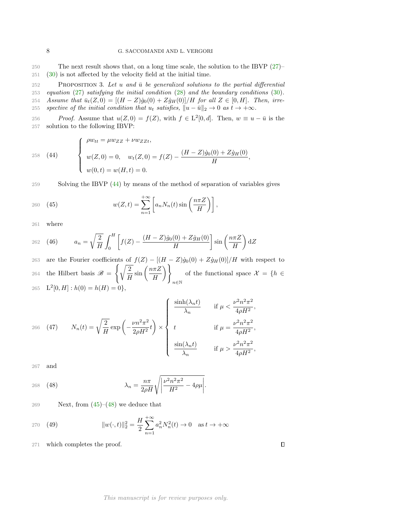250 The next result shows that, on a long time scale, the solution to the IBVP [\(27\)](#page-6-0)– 251 [\(30\)](#page-6-1) is not affected by the velocity field at the initial time.

252 PROPOSITION 3. Let u and  $\bar{u}$  be generalized solutions to the partial differential 253 equation [\(27\)](#page-6-0) satisfying the initial condition [\(28\)](#page-6-4) and the boundary conditions [\(30\)](#page-6-1). 254 Assume that  $\bar{u}_t(Z, 0) = [(H - Z)\dot{g}_0(0) + Z\dot{g}_H(0)]/H$  for all  $Z \in [0, H]$ . Then, irre-255 spective of the initial condition that  $u_t$  satisfies,  $\|u - \bar{u}\|_2 \to 0$  as  $t \to +\infty$ .

256 *Proof.* Assume that  $u(Z, 0) = f(Z)$ , with  $f \in L^2[0, d]$ . Then,  $w \equiv u - \bar{u}$  is the 257 solution to the following IBVP:

<span id="page-8-0"></span>(44) 
$$
\begin{cases} \rho w_{tt} = \mu w_{ZZ} + \nu w_{ZZt}, \\ w(Z,0) = 0, \quad w_t(Z,0) = f(Z) - \frac{(H-Z)\dot{g}_0(0) + Z\dot{g}_H(0)}{H}, \\ w(0,t) = w(H,t) = 0. \end{cases}
$$

259 Solving the IBVP [\(44\)](#page-8-0) by means of the method of separation of variables gives

<span id="page-8-1"></span>
$$
w(Z,t) = \sum_{n=1}^{+\infty} \left[ a_n N_n(t) \sin\left(\frac{n\pi Z}{H}\right) \right],
$$

261 where

<span id="page-8-3"></span>262 (46) 
$$
a_n = \sqrt{\frac{2}{H}} \int_0^H \left[ f(Z) - \frac{(H-Z)\dot{g}_0(0) + Z\dot{g}_H(0)}{H} \right] \sin\left(\frac{n\pi Z}{H}\right) dZ
$$

263 are the Fourier coefficients of  $f(Z) - [(H - Z)\dot{g}_0(0) + Z\dot{g}_H(0)]/H$  with respect to the Hilbert basis  $\mathscr{B} =$  $\int$   $\sqrt{2}$  $\frac{2}{H}\sin\left(\frac{n\pi Z}{H}\right)$ H  $\setminus$ n∈N 264 the Hilbert basis  $\mathscr{B} = \left\{ \sqrt{\frac{1}{H}} \sin \left( \frac{\ln 2}{H} \right) \right\}$  of the functional space  $\mathcal{X} = \{h \in$ 265  $L^2[0, H] : h(0) = h(H) = 0$ ,

<span id="page-8-4"></span>
$$
266 \quad (47) \qquad N_n(t) = \sqrt{\frac{2}{H}} \exp\left(-\frac{\nu n^2 \pi^2}{2\rho H^2} t\right) \times \begin{cases} \frac{\sinh(\lambda_n t)}{\lambda_n} & \text{if } \mu < \frac{\nu^2 n^2 \pi^2}{4\rho H^2}, \\ t & \text{if } \mu = \frac{\nu^2 n^2 \pi^2}{4\rho H^2}, \\ \frac{\sin(\lambda_n t)}{\lambda_n} & \text{if } \mu > \frac{\nu^2 n^2 \pi^2}{4\rho H^2}, \end{cases}
$$

267 and

<span id="page-8-2"></span>268 (48) 
$$
\lambda_n = \frac{n\pi}{2\rho H} \sqrt{\left| \frac{\nu^2 n^2 \pi^2}{H^2} - 4\rho \mu \right|}.
$$

269 Next, from  $(45)-(48)$  $(45)-(48)$  we deduce that

270 (49) 
$$
||w(\cdot,t)||_2^2 = \frac{H}{2} \sum_{n=1}^{+\infty} a_n^2 N_n^2(t) \to 0 \text{ as } t \to +\infty
$$

271 which completes the proof.

 $\Box$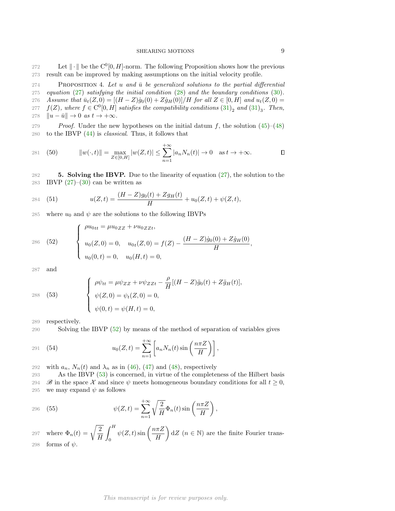272 Let  $\|\cdot\|$  be the  $C^0[0, H]$ -norm. The following Proposition shows how the previous 273 result can be improved by making assumptions on the initial velocity profile.

274 PROPOSITION 4. Let u and  $\bar{u}$  be generalized solutions to the partial differential 275 equation [\(27\)](#page-6-0) satisfying the initial condition [\(28\)](#page-6-4) and the boundary conditions [\(30\)](#page-6-1). 276 Assume that  $\bar{u}_t(Z, 0) = [(H - Z)\dot{g}_0(0) + Z\dot{g}_H(0)]/H$  for all  $Z \in [0, H]$  and  $u_t(Z, 0) =$ 277  $f(Z)$ , where  $f \in C^{0}[0, H]$  satisfies the compatibility conditions  $(31)_2$  $(31)_2$  and  $(31)_3$ . Then, 278  $\|u - \bar{u}\| \to 0$  as  $t \to +\infty$ .

279 Proof. Under the new hypotheses on the initial datum f, the solution  $(45)$ – $(48)$ 280 to the IBVP [\(44\)](#page-8-0) is classical. Thus, it follows that

281 (50) 
$$
||w(\cdot,t)|| = \max_{Z \in [0,H]} |w(Z,t)| \leq \sum_{n=1}^{+\infty} |a_n N_n(t)| \to 0 \text{ as } t \to +\infty.
$$

282 5. Solving the IBVP. Due to the linearity of equation [\(27\)](#page-6-0), the solution to the 283 IBVP  $(27)$ – $(30)$  can be written as

284 (51) 
$$
u(Z,t) = \frac{(H-Z)g_0(t) + Zg_H(t)}{H} + u_0(Z,t) + \psi(Z,t),
$$

285 where  $u_0$  and  $\psi$  are the solutions to the following IBVPs

<span id="page-9-0"></span>286 (52)  

$$
\begin{cases}\n\rho u_{0tt} = \mu u_{0ZZ} + \nu u_{0ZZt}, \\
u_0(Z,0) = 0, & u_{0t}(Z,0) = f(Z) - \frac{(H-Z)\dot{g}_0(0) + Z\dot{g}_H(0)}{H} \\
u_0(0,t) = 0, & u_0(H,t) = 0,\n\end{cases}
$$

287 and

<span id="page-9-1"></span>(53) 
$$
\begin{cases} \rho \psi_{tt} = \mu \psi_{ZZ} + \nu \psi_{ZZt} - \frac{\rho}{H} [(H - Z) \ddot{g}_0(t) + Z \ddot{g}_H(t)], \\ \psi(Z, 0) = \psi_t(Z, 0) = 0, \\ \psi(0, t) = \psi(H, t) = 0, \end{cases}
$$

289 respectively.

290 Solving the IBVP [\(52\)](#page-9-0) by means of the method of separation of variables gives

<span id="page-9-2"></span>291 (54) 
$$
u_0(Z,t) = \sum_{n=1}^{+\infty} \left[ a_n N_n(t) \sin\left(\frac{n\pi Z}{H}\right) \right],
$$

292 with  $a_n$ ,  $N_n(t)$  and  $\lambda_n$  as in [\(46\)](#page-8-3), [\(47\)](#page-8-4) and [\(48\)](#page-8-2), respectively

293 As the IBVP [\(53\)](#page-9-1) is concerned, in virtue of the completeness of the Hilbert basis 294  $\mathscr{B}$  in the space  $\mathcal X$  and since  $\psi$  meets homogeneous boundary conditions for all  $t \geq 0$ ,<br>295 we may expand  $\psi$  as follows we may expand  $\psi$  as follows

296 (55) 
$$
\psi(Z,t) = \sum_{n=1}^{+\infty} \sqrt{\frac{2}{H}} \Phi_n(t) \sin\left(\frac{n\pi Z}{H}\right),
$$

where  $\Phi_n(t) = \sqrt{\frac{2}{H}}$ H  $\int$ <sup>H</sup> 0  $\psi(Z,t) \sin\left(\frac{n\pi Z}{H}\right)$ H 297 where  $\Phi_n(t) = \sqrt{\frac{2}{H}} \int_0^H \psi(Z, t) \sin\left(\frac{n\pi Z}{H}\right) dZ$   $(n \in \mathbb{N})$  are the finite Fourier trans-298 forms of  $\psi$ .

# This manuscript is for review purposes only.

,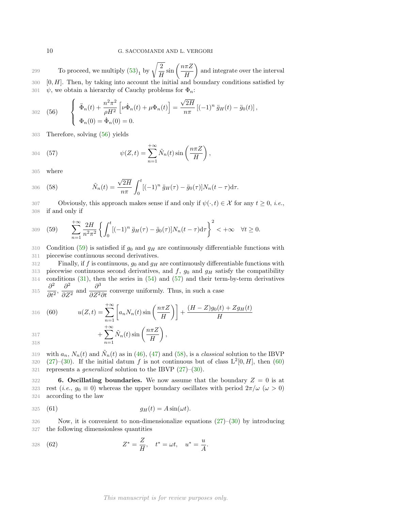To proceed, we multiply  $(53)_1$  by  $\sqrt{\frac{2}{H}}$  $\frac{2}{H}\sin\left(\frac{n\pi Z}{H}\right)$ H 299 **a** To proceed, we multiply  $(53)_1$  by  $\sqrt{\frac{2}{\pi}} \sin\left(\frac{n\pi Z}{\pi}\right)$  and integrate over the interval  $300 \quad [0, H]$ . Then, by taking into account the initial and boundary conditions satisfied by 301  $\psi$ , we obtain a hierarchy of Cauchy problems for  $\Phi_n$ :

<span id="page-10-1"></span>302 (56) 
$$
\begin{cases} \ddot{\Phi}_n(t) + \frac{n^2 \pi^2}{\rho H^2} \left[ \nu \dot{\Phi}_n(t) + \mu \Phi_n(t) \right] = \frac{\sqrt{2H}}{n\pi} \left[ (-1)^n \ddot{g}_H(t) - \ddot{g}_0(t) \right], \\ \Phi_n(0) = \dot{\Phi}_n(0) = 0. \end{cases}
$$

303 Therefore, solving [\(56\)](#page-10-1) yields

<span id="page-10-3"></span>304 (57) 
$$
\psi(Z,t) = \sum_{n=1}^{+\infty} \tilde{N}_n(t) \sin\left(\frac{n\pi Z}{H}\right),
$$

305 where

<span id="page-10-4"></span>306 (58) 
$$
\tilde{N}_n(t) = \frac{\sqrt{2H}}{n\pi} \int_0^t [(-1)^n \ddot{g}_H(\tau) - \ddot{g}_0(\tau)] N_n(t - \tau) d\tau.
$$

307 Obviously, this approach makes sense if and only if  $\psi(\cdot, t) \in \mathcal{X}$  for any  $t \ge 0$ , *i.e.*, 308 if and only if if and only if

<span id="page-10-2"></span>
$$
309 \quad (59) \qquad \sum_{n=1}^{+\infty} \frac{2H}{n^2 \pi^2} \left\{ \int_0^t [(-1)^n \ddot{g}_H(\tau) - \ddot{g}_0(\tau)] N_n(t-\tau) \mathrm{d}\tau \right\}^2 < +\infty \quad \forall t \ge 0.
$$

310 Condition [\(59\)](#page-10-2) is satisfied if  $g_0$  and  $g_H$  are continuously differentiable functions with 311 piecewise continuous second derivatives.

312 Finally, if f is continuous,  $g_0$  and  $g_H$  are continuously differentiable functions with 313 piecewise continuous second derivatives, and f,  $g_0$  and  $g_H$  satisfy the compatibility 314 conditions [\(31\)](#page-6-5), then the series in [\(54\)](#page-9-2) and [\(57\)](#page-10-3) and their term-by-term derivatives  $\partial^2$   $\partial^2$ and  $\frac{\partial^3}{\partial z^2}$ 

315 
$$
\frac{\partial}{\partial t^2}
$$
,  $\frac{\partial}{\partial Z^2}$  and  $\frac{\partial}{\partial Z^2 \partial t}$  converge uniformly. Thus, in such a case

<span id="page-10-5"></span>316 (60) 
$$
u(Z,t) = \sum_{n=1}^{+\infty} \left[ a_n N_n(t) \sin\left(\frac{n\pi Z}{H}\right) \right] + \frac{(H-Z)g_0(t) + Zg_H(t)}{H}
$$

$$
317 + \sum_{n=1}^{+\infty} \tilde{N}_n(t) \sin\left(\frac{n\pi Z}{H}\right),
$$

319 with  $a_n$ ,  $N_n(t)$  and  $\tilde{N}_n(t)$  as in [\(46\)](#page-8-3), [\(47\)](#page-8-4) and [\(58\)](#page-10-4), is a *classical* solution to the IBVP 320  $(27)-(30)$  $(27)-(30)$  $(27)-(30)$ . If the initial datum f is not continuous but of class  $L^2[0, H]$ , then  $(60)$ 321 represents a *generalized* solution to the IBVP  $(27)–(30)$  $(27)–(30)$ .

<span id="page-10-0"></span>322 6. Oscillating boundaries. We now assume that the boundary  $Z = 0$  is at 323 rest (*i.e.*,  $g_0 \equiv 0$ ) whereas the upper boundary oscillates with period  $2\pi/\omega$  ( $\omega > 0$ )<br>324 according to the law according to the law

$$
325 \quad (61) \qquad \qquad g_H(t) = A \sin(\omega t).
$$

326 Now, it is convenient to non-dimensionalize equations [\(27\)](#page-6-0)–[\(30\)](#page-6-1) by introducing 327 the following dimensionless quantities

328 (62) 
$$
Z^* = \frac{Z}{H}, \quad t^* = \omega t, \quad u^* = \frac{u}{A}.
$$

This manuscript is for review purposes only.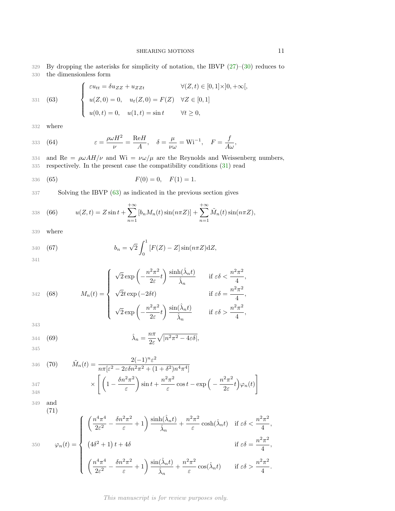329 By dropping the asterisks for simplicity of notation, the IBVP  $(27)$ – $(30)$  reduces to 330 the dimensionless form

<span id="page-11-0"></span>(63) 
$$
\begin{cases} \varepsilon u_{tt} = \delta u_{ZZ} + u_{ZZt} & \forall (Z, t) \in [0, 1] \times ]0, +\infty[, \\ u(Z, 0) = 0, & u_t(Z, 0) = F(Z) & \forall Z \in [0, 1] \\ u(0, t) = 0, & u(1, t) = \sin t & \forall t \ge 0, \end{cases}
$$

332 where

331

<span id="page-11-5"></span>333 (64) 
$$
\varepsilon = \frac{\rho \omega H^2}{\nu} = \frac{\text{Re}H}{A}, \quad \delta = \frac{\mu}{\nu \omega} = \text{Wi}^{-1}, \quad F = \frac{f}{A\omega},
$$

334 and Re =  $\rho\omega AH/\nu$  and Wi =  $\nu\omega/\mu$  are the Reynolds and Weissenberg numbers, 335 respectively. In the present case the compatibility conditions [\(31\)](#page-6-5) read

<span id="page-11-1"></span>336 (65) 
$$
F(0) = 0, \quad F(1) = 1.
$$

337 Solving the IBVP [\(63\)](#page-11-0) as indicated in the previous section gives

<span id="page-11-2"></span>338 (66) 
$$
u(Z,t) = Z \sin t + \sum_{n=1}^{+\infty} [b_n M_n(t) \sin(n\pi Z)] + \sum_{n=1}^{+\infty} \tilde{M}_n(t) \sin(n\pi Z),
$$

339 where

<span id="page-11-4"></span>340 (67) 
$$
b_n = \sqrt{2} \int_0^1 [F(Z) - Z] \sin(n\pi Z) dZ,
$$

341

342 (68) 
$$
M_n(t) = \begin{cases} \sqrt{2} \exp\left(-\frac{n^2 \pi^2}{2\varepsilon}t\right) \frac{\sinh(\hat{\lambda}_n t)}{\hat{\lambda}_n} & \text{if } \varepsilon \delta < \frac{n^2 \pi^2}{4}, \\ \sqrt{2}t \exp\left(-2\delta t\right) & \text{if } \varepsilon \delta = \frac{n^2 \pi^2}{4}, \\ \sqrt{2} \exp\left(-\frac{n^2 \pi^2}{2\varepsilon}t\right) \frac{\sin(\hat{\lambda}_n t)}{\hat{\lambda}_n} & \text{if } \varepsilon \delta > \frac{n^2 \pi^2}{4}, \end{cases}
$$

343

344 (69) 
$$
\hat{\lambda}_n = \frac{n\pi}{2\varepsilon} \sqrt{|n^2 \pi^2 - 4\varepsilon \delta|},
$$

345

346 (70) 
$$
\tilde{M}_n(t) = \frac{2(-1)^n \varepsilon^2}{n \pi [\varepsilon^2 - 2\varepsilon \delta n^2 \pi^2 + (1 + \delta^2) n^4 \pi^4]}
$$

$$
\times \left[ \left( 1 - \frac{\delta n^2 \pi^2}{\varepsilon} \right) \sin t + \frac{n^2 \pi^2}{\varepsilon} \cos t - \exp \left( - \frac{n^2 \pi^2}{2\varepsilon} t \right) \varphi_n(t) \right]
$$

349 and

(71)

<span id="page-11-3"></span>
$$
350 \qquad \varphi_n(t) = \begin{cases} \left(\frac{n^4 \pi^4}{2\varepsilon^2} - \frac{\delta n^2 \pi^2}{\varepsilon} + 1\right) \frac{\sinh(\hat{\lambda}_n t)}{\hat{\lambda}_n} + \frac{n^2 \pi^2}{\varepsilon} \cosh(\hat{\lambda}_n t) & \text{if } \varepsilon \delta < \frac{n^2 \pi^2}{4}, \\ \left(4\delta^2 + 1\right)t + 4\delta & \text{if } \varepsilon \delta = \frac{n^2 \pi^2}{4}, \\ \left(\frac{n^4 \pi^4}{2\varepsilon^2} - \frac{\delta n^2 \pi^2}{\varepsilon} + 1\right) \frac{\sin(\hat{\lambda}_n t)}{\hat{\lambda}_n} + \frac{n^2 \pi^2}{\varepsilon} \cos(\hat{\lambda}_n t) & \text{if } \varepsilon \delta > \frac{n^2 \pi^2}{4}. \end{cases}
$$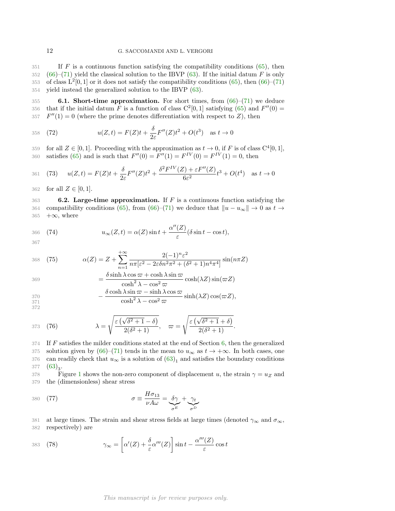If F is a continuous function satisfying the compatibility conditions [\(65\)](#page-11-1), then [\(66\)](#page-11-2)–[\(71\)](#page-11-3) yield the classical solution to the IBVP [\(63\)](#page-11-0). If the initial datum F is only 353 of class  $L^2[0,1]$  or it does not satisfy the compatibility conditions [\(65\)](#page-11-1), then [\(66\)](#page-11-2)–[\(71\)](#page-11-3) yield instead the generalized solution to the IBVP [\(63\)](#page-11-0).

355 6.1. Short-time approximation. For short times, from  $(66)$ – $(71)$  we deduce 356 that if the initial datum F is a function of class  $C^2[0,1]$  satisfying [\(65\)](#page-11-1) and  $F''(0) =$ 357  $F''(1) = 0$  (where the prime denotes differentiation with respect to Z), then

358 (72) 
$$
u(Z,t) = F(Z)t + \frac{\delta}{2\varepsilon}F''(Z)t^2 + O(t^3) \text{ as } t \to 0
$$

359 for all  $Z \in [0, 1]$ . Proceeding with the approximation as  $t \to 0$ , if F is of class  $C^4[0, 1]$ , 360 satisfies [\(65\)](#page-11-1) and is such that  $F''(0) = F''(1) = F^{IV}(0) = F^{IV}(1) = 0$ , then

361 (73) 
$$
u(Z,t) = F(Z)t + \frac{\delta}{2\varepsilon}F''(Z)t^2 + \frac{\delta^2 F^{IV}(Z) + \varepsilon F''(Z)}{6\varepsilon^2}t^3 + O(t^4) \text{ as } t \to 0
$$

362 for all  $Z \in [0, 1]$ .

 $363$  6.2. Large-time approximation. If F is a continuous function satisfying the 364 compatibility conditions [\(65\)](#page-11-1), from [\(66\)](#page-11-2)–[\(71\)](#page-11-3) we deduce that  $||u - u_{\infty}|| \to 0$  as  $t \to 365$  + $\infty$ , where  $+\infty$ , where

$$
366 \quad (74) \qquad \qquad u_{\infty}(Z,t) = \alpha(Z)\sin t + \frac{\alpha''(Z)}{\varepsilon}(\delta\sin t - \cos t),
$$

<span id="page-12-2"></span> $+ \sim$ 

367

<span id="page-12-0"></span>368 (75) 
$$
\alpha(Z) = Z + \sum_{n=1}^{+\infty} \frac{2(-1)^n \varepsilon^2}{n \pi [\varepsilon^2 - 2\varepsilon \delta n^2 \pi^2 + (\delta^2 + 1) n^4 \pi^4]} \sin(n \pi Z)
$$

$$
= \frac{\delta \sinh \lambda \cos \varpi + \cosh \lambda \sin \varpi}{\cosh^2 \lambda - \cos^2 \varpi} \cosh(\lambda Z) \sin(\varpi Z)
$$

$$
-\frac{\delta \cosh \lambda \sin \varpi - \sinh \lambda \cos \varpi}{\cosh^2 \lambda - \cos^2 \varpi} \sinh(\lambda Z) \cos(\varpi Z),
$$

372

373 (76) 
$$
\lambda = \sqrt{\frac{\varepsilon(\sqrt{\delta^2 + 1} - \delta)}{2(\delta^2 + 1)}}, \quad \varpi = \sqrt{\frac{\varepsilon(\sqrt{\delta^2 + 1} + \delta)}{2(\delta^2 + 1)}}.
$$

 $374$  If F satisfies the milder conditions stated at the end of Section [6,](#page-10-0) then the generalized 375 solution given by  $(66)$ – $(71)$  tends in the mean to  $u_{\infty}$  as  $t \to +\infty$ . In both cases, one can readily check that  $u_{\infty}$  is a solution of  $(63)_1$  and satisfies the boundary conditions 376 can readily check that  $u_{\infty}$  is a solution of  $(63)_1$  and satisfies the boundary conditions 377  $(63)_3$  $(63)_3$ .

378 Figure [1](#page-13-0) shows the non-zero component of displacement u, the strain  $\gamma = u_Z$  and 379 the (dimensionless) shear stress

$$
\sigma \equiv \frac{H\sigma_{13}}{\nu A\omega} = \frac{\delta\gamma}{\sigma^E} + \frac{\gamma_t}{\sigma^D}
$$

381 at large times. The strain and shear stress fields at large times (denoted  $\gamma_{\infty}$  and  $\sigma_{\infty}$ , 382 respectively) are

<span id="page-12-1"></span>
$$
383 \quad (78) \qquad \gamma_{\infty} = \left[ \alpha'(Z) + \frac{\delta}{\varepsilon} \alpha'''(Z) \right] \sin t - \frac{\alpha'''(Z)}{\varepsilon} \cos t
$$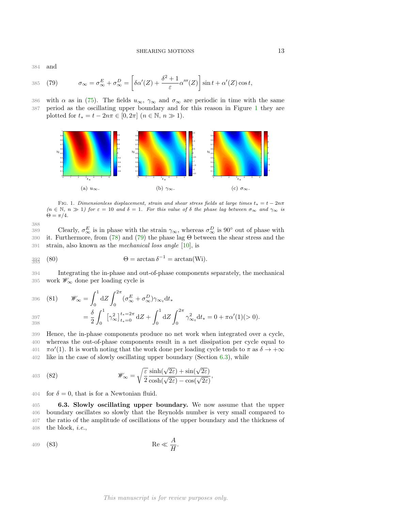384 and

<span id="page-13-1"></span>
$$
385 \quad (79) \qquad \sigma_{\infty} = \sigma_{\infty}^{E} + \sigma_{\infty}^{D} = \left[ \delta \alpha'(Z) + \frac{\delta^{2} + 1}{\varepsilon} \alpha'''(Z) \right] \sin t + \alpha'(Z) \cos t,
$$

386 with  $\alpha$  as in [\(75\)](#page-12-0). The fields  $u_{\infty}$ ,  $\gamma_{\infty}$  and  $\sigma_{\infty}$  are periodic in time with the same 387 period as the oscillating upper boundary and for this reason in Figure [1](#page-13-0) they are plotted for  $t_* = t - 2n\pi \in [0, 2\pi]$   $(n \in \mathbb{N}, n \gg 1)$ .

<span id="page-13-0"></span>

FIG. 1. *Dimensionless displacement, strain and shear stress fields at large times*  $t_* = t - 2n\pi$  $(n \in \mathbb{N}, n \gg 1)$  for  $\varepsilon = 10$  and  $\delta = 1$ . For this value of  $\delta$  the phase lag between  $\sigma_{\infty}$  and  $\gamma_{\infty}$  is  $\Theta = \pi/4$ .

$$
388 \\
$$

389 Clearly,  $\sigma_{\infty}^{E}$  is in phase with the strain  $\gamma_{\infty}$ , whereas  $\sigma_{\infty}^{D}$  is 90° out of phase with 390 it. Furthermore, from [\(78\)](#page-12-1) and [\(79\)](#page-13-1) the phase lag Θ between the shear stress and the 391 strain, also known as the mechanical loss angle [\[10\]](#page-19-8), is

<span id="page-13-3"></span>
$$
\S93 \quad (80) \qquad \Theta = \arctan \delta^{-1} = \arctan(Wi).
$$

394 Integrating the in-phase and out-of-phase components separately, the mechanical 395 work  $\mathscr{W}_{\infty}$  done per loading cycle is

<span id="page-13-4"></span>396 (81) 
$$
\mathscr{W}_{\infty} = \int_0^1 dZ \int_0^{2\pi} (\sigma_{\infty}^E + \sigma_{\infty}^D) \gamma_{\infty_t} dt_*
$$

$$
397 = \frac{\delta}{2} \int_0^1 \left[ \gamma_\infty^2 \right]_{t_*=0}^{t_*=2\pi} dZ + \int_0^1 dZ \int_0^{2\pi} \gamma_\infty^2 dt_* = 0 + \pi \alpha'(1)(>0).
$$

 Hence, the in-phase components produce no net work when integrated over a cycle, whereas the out-of-phase components result in a net dissipation per cycle equal to  $\pi\alpha'(1)$ . It is worth noting that the work done per loading cycle tends to  $\pi$  as  $\delta \to +\infty$ like in the case of slowly oscillating upper boundary (Section [6.3\)](#page-13-2), while

403 (82) 
$$
\mathscr{W}_{\infty} = \sqrt{\frac{\varepsilon}{2}} \frac{\sinh(\sqrt{2\varepsilon}) + \sin(\sqrt{2\varepsilon})}{\cosh(\sqrt{2\varepsilon}) - \cos(\sqrt{2\varepsilon})},
$$

<span id="page-13-2"></span>404 for  $\delta = 0$ , that is for a Newtonian fluid.

 6.3. Slowly oscillating upper boundary. We now assume that the upper boundary oscillates so slowly that the Reynolds number is very small compared to the ratio of the amplitude of oscillations of the upper boundary and the thickness of 408 the block, *i.e.*,

<span id="page-13-5"></span>
$$
409 \quad (83) \quad \text{Re} \ll \frac{A}{H}.
$$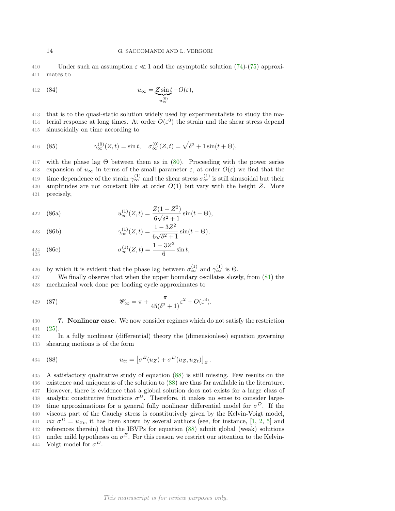410 Under such an assumption  $\varepsilon \ll 1$  and the asymptotic solution [\(74\)](#page-12-2)-[\(75\)](#page-12-0) approxi-<br>411 mates to mates to

412 (84) 
$$
u_{\infty} = \underbrace{Z \sin t}_{u_{\infty}^{(0)}} + O(\varepsilon),
$$

413 that is to the quasi-static solution widely used by experimentalists to study the ma-414 terial response at long times. At order  $O(\varepsilon^0)$  the strain and the shear stress depend 415 sinusoidally on time according to

416 (85) 
$$
\gamma_{\infty}^{(0)}(Z,t) = \sin t, \quad \sigma_{\infty}^{(0)}(Z,t) = \sqrt{\delta^2 + 1} \sin(t + \Theta),
$$

417 with the phase lag  $\Theta$  between them as in [\(80\)](#page-13-3). Proceeding with the power series 418 expansion of  $u_{\infty}$  in terms of the small parameter  $\varepsilon$ , at order  $O(\varepsilon)$  we find that the 419 time dependence of the strain  $\gamma_{\infty}^{(1)}$  and the shear stress  $\sigma_{\infty}^{(1)}$  is still sinusoidal but their 420 amplitudes are not constant like at order  $O(1)$  but vary with the height Z. More 421 precisely,

422 (86a) 
$$
u_{\infty}^{(1)}(Z,t) = \frac{Z(1-Z^2)}{6\sqrt{\delta^2+1}}\sin(t-\Theta),
$$

423 (86b) 
$$
\gamma_{\infty}^{(1)}(Z,t) = \frac{1 - 3Z^2}{6\sqrt{\delta^2 + 1}} \sin(t - \Theta),
$$

$$
424 \n425 \n426 \n427 \n428 \n429 \n430 \n441 \n45 \n46 \n481 \n491 \n401 \n422 \n432 \n443 \n451 \n461 \n482 \n493 \n404 \n425 \n431 \n442 \n451 \n463 \n484 \n495 \n406 \n429 \n431 \n445 \n451 \n462 \n483 \n495 \n409 \n429 \n431 \n449 \n451 \n461 \n482 \n491 \n409 \n4195 \n429 \n431 \n449 \n451 \n461 \n482 \n491 \n409 \n4195 \n429 \n431 \n449 \n451 \n462 \n483 \n491 \n492 \n409 \n4195 \n429 \n431 \n449 \n451 \n462 \n483 \n494 \n495 \n496 \n496 \n491 \n491 \n409 \n4195 \n429 \n431 \n449 \n451 \n462 \n483 \n491 \n492 \n493 \n409 \n4195 \n429 \n431 \n449 \n451 \n462 \n483 \n494 \n495 \n496 \n491 \n491 \n491 \n491 \n409 \n4195 \n429 \n431 \n449 \
$$

426 by which it is evident that the phase lag between  $\sigma_{\infty}^{(1)}$  and  $\gamma_{\infty}^{(1)}$  is  $\Theta$ .

427 We finally observe that when the upper boundary oscillates slowly, from [\(81\)](#page-13-4) the 428 mechanical work done per loading cycle approximates to

429 (87) 
$$
\mathscr{W}_{\infty} = \pi + \frac{\pi}{45(\delta^2 + 1)} \varepsilon^2 + O(\varepsilon^3).
$$

430 7. Nonlinear case. We now consider regimes which do not satisfy the restriction 431 [\(25\)](#page-5-5).

432 In a fully nonlinear (differential) theory the (dimensionless) equation governing 433 shearing motions is of the form

<span id="page-14-0"></span>434 (88) 
$$
u_{tt} = \left[\sigma^E(u_Z) + \sigma^D(u_Z, u_{Zt})\right]_Z.
$$

435 A satisfactory qualitative study of equation [\(88\)](#page-14-0) is still missing. Few results on the 436 existence and uniqueness of the solution to [\(88\)](#page-14-0) are thus far available in the literature. 437 However, there is evidence that a global solution does not exists for a large class of 438 analytic constitutive functions  $\sigma^D$ . Therefore, it makes no sense to consider large-439 time approximations for a general fully nonlinear differential model for  $\sigma^D$ . If the 440 viscous part of the Cauchy stress is constitutively given by the Kelvin-Voigt model, 441 *viz*  $\sigma^D = u_{Zt}$ , it has been shown by several authors (see, for instance, [\[1,](#page-19-9) [2,](#page-19-3) [5\]](#page-19-10) and 442 references therein) that the IBVPs for equation [\(88\)](#page-14-0) admit global (weak) solutions 443 under mild hypotheses on  $\sigma^E$ . For this reason we restrict our attention to the Kelvin-444 Voigt model for  $\sigma^D$ .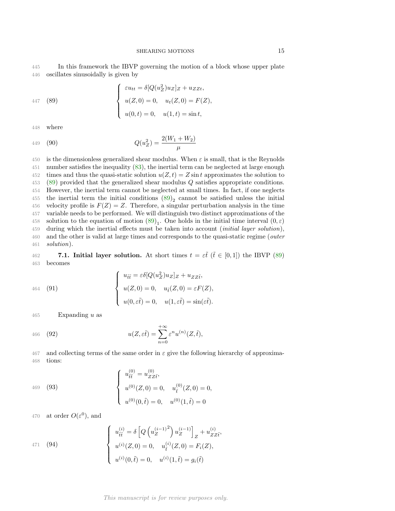445 In this framework the IBVP governing the motion of a block whose upper plate 446 oscillates sinusoidally is given by

<span id="page-15-3"></span> $2222222$ 

447 (89)  

$$
\begin{cases}\n\varepsilon u_{tt} = \delta [Q(u_Z^2)u_Z]_Z + u_{ZZt}, \\
u(Z,0) = 0, u_t(Z,0) = F(Z), \\
u(0,t) = 0, u(1,t) = \sin t,\n\end{cases}
$$

<span id="page-15-0"></span> $\overline{ }$ 

448 where

449 (90) 
$$
Q(u_Z^2) = \frac{2(W_1 + W_2)}{\mu}
$$

450 is the dimensionless generalized shear modulus. When  $\varepsilon$  is small, that is the Reynolds 451 number satisfies the inequality [\(83\)](#page-13-5), the inertial term can be neglected at large enough 452 times and thus the quasi-static solution  $u(Z, t) = Z \sin t$  approximates the solution to 453 [\(89\)](#page-15-0) provided that the generalized shear modulus Q satisfies appropriate conditions. 454 However, the inertial term cannot be neglected at small times. In fact, if one neglects 455 the inertial term the initial conditions  $(89)_2$  cannot be satisfied unless the initial 456 velocity profile is  $F(Z) = Z$ . Therefore, a singular perturbation analysis in the time 457 variable needs to be performed. We will distinguish two distinct approximations of the 458 solution to the equation of motion  $(89)_1$ . One holds in the initial time interval  $(0, \varepsilon)$ 459 during which the inertial effects must be taken into account (initial layer solution), 460 and the other is valid at large times and corresponds to the quasi-static regime (outer 461 solution).

462 7.1. Initial layer solution. At short times  $t = \varepsilon \tilde{t}$  ( $\tilde{t} \in [0,1]$ ) the IBVP [\(89\)](#page-15-0) 463 becomes becomes

464 (91)  

$$
\begin{cases}\nu_{\tilde{t}\tilde{t}} = \varepsilon \delta [Q(u_Z^2)u_Z]_Z + u_{ZZ\tilde{t}},\\ u(Z,0) = 0, \quad u_{\tilde{t}}(Z,0) = \varepsilon F(Z),\\ u(0,\varepsilon \tilde{t}) = 0, \quad u(1,\varepsilon \tilde{t}) = \sin(\varepsilon \tilde{t}).\end{cases}
$$

465 Expanding  $u$  as

466 (92) 
$$
u(Z,\varepsilon\tilde{t}) = \sum_{n=0}^{+\infty} \varepsilon^n u^{(n)}(Z,\tilde{t}),
$$

467 and collecting terms of the same order in  $\varepsilon$  give the following hierarchy of approxima-468 tions:

<span id="page-15-1"></span>469 (93)  

$$
\begin{cases}\nu_{\tilde{t}\tilde{t}}^{(0)} = u_{ZZ\tilde{t}}^{(0)},\\ u^{(0)}(Z,0) = 0, & u_{\tilde{t}}^{(0)}(Z,0) = 0,\\ u^{(0)}(0,\tilde{t}) = 0, & u^{(0)}(1,\tilde{t}) = 0\n\end{cases}
$$

470 at order  $O(\varepsilon^0)$ , and

<span id="page-15-2"></span>
$$
u_{\tilde{t}\tilde{t}}^{(i)} = \delta \left[ Q \left( u_Z^{(i-1)^2} \right) u_Z^{(i-1)} \right]_Z + u_{ZZ\tilde{t}}^{(i)},
$$
  
\n
$$
u^{(i)}(Z, 0) = 0, \quad u_{\tilde{t}}^{(i)}(Z, 0) = F_i(Z),
$$
  
\n
$$
u^{(i)}(0, \tilde{t}) = 0, \quad u^{(i)}(1, \tilde{t}) = g_i(\tilde{t})
$$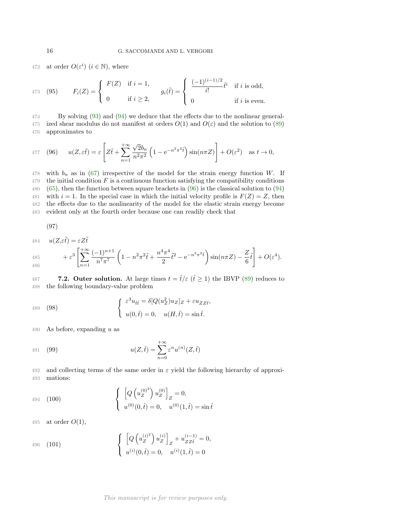472 at order  $O(\varepsilon^i)$   $(i \in \mathbb{N})$ , where

473 (95) 
$$
F_i(Z) = \begin{cases} F(Z) & \text{if } i = 1, \\ 0 & \text{if } i \geq 2, \end{cases} \qquad g_i(\tilde{t}) = \begin{cases} \frac{(-1)^{(i-1)/2}}{i!} \tilde{t}^i & \text{if } i \text{ is odd,} \\ 0 & \text{if } i \text{ is even.} \end{cases}
$$

474 By solving [\(93\)](#page-15-1) and [\(94\)](#page-15-2) we deduce that the effects due to the nonlinear general-475 ized shear modulus do not manifest at orders  $O(1)$  and  $O(\varepsilon)$  and the solution to [\(89\)](#page-15-0) 476 approximates to

<span id="page-16-0"></span>477 (96) 
$$
u(Z,\varepsilon\tilde{t}) = \varepsilon \left[ Z\tilde{t} + \sum_{n=1}^{+\infty} \frac{\sqrt{2}b_n}{n^2 \pi^2} \left( 1 - e^{-n^2 \pi^2 \tilde{t}} \right) \sin(n\pi Z) \right] + O(\varepsilon^2) \text{ as } t \to 0,
$$

478 with  $b_n$  as in [\(67\)](#page-11-4) irrespective of the model for the strain energy function W. If the initial condition F is a continuous function satisfying the compatibility conditions [\(65\)](#page-11-1), then the function between square brackets in [\(96\)](#page-16-0) is the classical solution to [\(94\)](#page-15-2) 481 with  $i = 1$ . In the special case in which the initial velocity profile is  $F(Z) = Z$ , then the effects due to the nonlinearity of the model for the elastic strain energy become evident only at the fourth order because one can readily check that

$$
(97)
$$

 $u(Z,\varepsilon\tilde{t}) = \varepsilon Z\tilde{t}$ 484

$$
+ \varepsilon^3 \left[ \sum_{n=1}^{+\infty} \frac{(-1)^{n+1}}{n^7 \pi^7} \left( 1 - n^2 \pi^2 \tilde{t} + \frac{n^4 \pi^4}{2} \tilde{t}^2 - e^{-n^2 \pi^2 \tilde{t}} \right) \sin(n \pi Z) - \frac{Z}{6} \tilde{t} \right] + O(\varepsilon^4).
$$

487 **7.2. Outer solution.** At large times  $t = \hat{t}/\varepsilon$  ( $\hat{t} \ge 1$ ) the IBVP [\(89\)](#page-15-0) reduces to 488 the following boundary-value problem the following boundary-value problem

<span id="page-16-2"></span>(98) 
$$
\begin{cases} \varepsilon^3 u_{\hat{t}\hat{t}} = \delta[Q(u_Z^2)u_Z]_Z + \varepsilon u_{ZZ\hat{t}},\\ u(0,\hat{t}) = 0, \quad u(H,\hat{t}) = \sin \hat{t}. \end{cases}
$$

490 As before, expanding  $u$  as

491 (99) 
$$
u(Z, \hat{t}) = \sum_{n=0}^{+\infty} \varepsilon^n u^{(n)}(Z, \hat{t})
$$

492 and collecting terms of the same order in  $\varepsilon$  yield the following hierarchy of approxi-493 mations:

<span id="page-16-1"></span>494 (100)
$$
\begin{cases} \left[ Q \left( u_Z^{(0)^2} \right) u_Z^{(0)} \right]_Z = 0, \\ u^{(0)}(0, \hat{t}) = 0, \quad u^{(0)}(1, \hat{t}) = \sin \hat{t} \end{cases}
$$

495 at order  $O(1)$ ,

496 (101) 
$$
\begin{cases} \left[ Q\left(u_Z^{(i)^2}\right) u_Z^{(i)} \right]_Z + u_{ZZ\hat{t}}^{(i-1)} = 0, \\ u^{(i)}(0,\hat{t}) = 0, \quad u^{(i)}(1,\hat{t}) = 0 \end{cases}
$$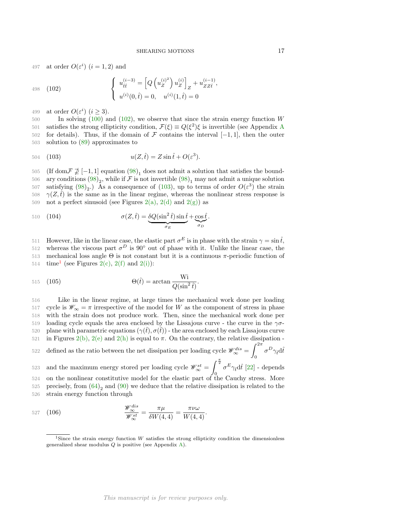,

497 at order  $O(\varepsilon^i)$   $(i = 1, 2)$  and

<span id="page-17-0"></span>498 (102) 
$$
\begin{cases} u_{\hat{t}\hat{t}}^{(i-3)} = \left[Q\left(u_Z^{(i)^2}\right)u_Z^{(i)}\right]_Z + u_{ZZ\hat{t}}^{(i-1)} \\ u^{(i)}(0,\hat{t}) = 0, \quad u^{(i)}(1,\hat{t}) = 0 \end{cases}
$$

499 at order  $O(\varepsilon^i)$   $(i \geq 3)$ .

500 In solving [\(100\)](#page-16-1) and [\(102\)](#page-17-0), we observe that since the strain energy function W 501 satisfies the strong ellipticity condition,  $\mathcal{F}(\xi) \equiv Q(\xi^2)\xi$  is invertible (see [A](#page-19-11)ppendix A 502 for details). Thus, if the domain of  $\mathcal F$  contains the interval [−1, 1], then the outer solution to (89) approximates to solution to  $(89)$  approximates to

<span id="page-17-1"></span>504 (103) 
$$
u(Z, \hat{t}) = Z \sin \hat{t} + O(\varepsilon^3).
$$

505 (If dom $\mathcal{F} \not\supseteq [-1,1]$  equation  $(98)_1$  does not admit a solution that satisfies the bound-506 ary conditions  $(98)_2$ , while if F is not invertible  $(98)_1$  may not admit a unique solution 507 satisfying  $(98)_2$ .) As a consequence of  $(103)$ , up to terms of order  $O(\varepsilon^3)$  the strain 508  $\gamma(Z,\hat{t})$  is the same as in the linear regime, whereas the nonlinear stress response is 509 not a perfect sinusoid (see Figures 2(a), 2(d) and 2(g)) as

510 (104) 
$$
\sigma(Z, \hat{t}) = \underbrace{\delta Q(\sin^2 \hat{t}) \sin \hat{t}}_{\sigma_E} + \underbrace{\cos \hat{t}}_{\sigma_D}.
$$

511 However, like in the linear case, the elastic part  $\sigma^E$  is in phase with the strain  $\gamma = \sin \hat{t}$ ,

512 whereas the viscous part  $\sigma^D$  is 90° out of phase with it. Unlike the linear case, the 513 mechanical loss angle Θ is not constant but it is a continuous π-periodic function of 5[1](#page-17-2)4 time<sup>1</sup> (see Figures 2(c), 2(f) and 2(i)):

515 (105) 
$$
\Theta(\hat{t}) = \arctan \frac{\text{Wi}}{Q(\sin^2 \hat{t})}.
$$

516 Like in the linear regime, at large times the mechanical work done per loading 517 cycle is  $\mathscr{W}_{\infty} = \pi$  irrespective of the model for W as the component of stress in phase 518 with the strain does not produce work. Then, since the mechanical work done per 519 loading cycle equals the area enclosed by the Lissajous curve - the curve in the  $\gamma\sigma$ -520 plane with parametric equations  $(\gamma(\hat{t}), \sigma(\hat{t}))$  - the area enclosed by each Lissajous curve 521 in Figures 2(b), 2(e) and 2(h) is equal to  $\pi$ . On the contrary, the relative dissipation - $\int^{2\pi}$ 

defined as the ratio between the net dissipation per loading cycle  $\mathscr{W}^{dis}_{\infty} =$ 0 522 defined as the ratio between the net dissipation per loading cycle  $\mathscr{W}_{\infty}^{dis} = \int \sigma^D \gamma_i d\hat{t}$ and the maximum energy stored per loading cycle  $\mathscr{W}^{st}_{\infty} =$ 523 and the maximum energy stored per loading cycle  $\mathscr{W}_{\infty}^{st} = \int_{0}^{\frac{\pi}{2}} \sigma^{E} \gamma_{\hat{t}} d\hat{t}$  [\[22\]](#page-20-10) - depends  $524$  on the nonlinear constitutive model for the elastic part of the Cauchy stress. More 525 precisely, from  $(64)_2$  and  $(90)$  we deduce that the relative dissipation is related to the 526 strain energy function through

$$
\frac{\mathscr{W}_{\infty}^{dis}}{\mathscr{W}_{\infty}^{st}} = \frac{\pi\mu}{\delta W(4,4)} = \frac{\pi\nu\omega}{W(4,4)}.
$$

<span id="page-17-2"></span><sup>&</sup>lt;sup>1</sup>Since the strain energy function  $W$  satisfies the strong ellipticity condition the dimensionless generalized shear modulus Q is positive (see Appendix [A\)](#page-19-11).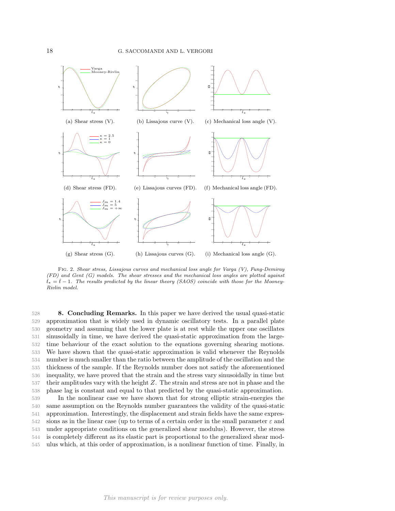

Fig. 2. *Shear stress, Lissajous curves and mechanical loss angle for Varga (V), Fung-Demiray (FD) and Gent (G) models. The shear stresses and the mechanical loss angles are plotted against*  $\hat{t}_* = \hat{t} - 1$ . The results predicted by the linear theory (SAOS) coincide with those for the Mooney-*Rivlin model.*

 8. Concluding Remarks. In this paper we have derived the usual quasi-static approximation that is widely used in dynamic oscillatory tests. In a parallel plate geometry and assuming that the lower plate is at rest while the upper one oscillates sinusoidally in time, we have derived the quasi-static approximation from the large- time behaviour of the exact solution to the equations governing shearing motions. We have shown that the quasi-static approximation is valid whenever the Reynolds number is much smaller than the ratio between the amplitude of the oscillation and the thickness of the sample. If the Reynolds number does not satisfy the aforementioned inequality, we have proved that the strain and the stress vary sinusoidally in time but their amplitudes vary with the height Z. The strain and stress are not in phase and the phase lag is constant and equal to that predicted by the quasi-static approximation.

 In the nonlinear case we have shown that for strong elliptic strain-energies the same assumption on the Reynolds number guarantees the validity of the quasi-static approximation. Interestingly, the displacement and strain fields have the same expres-542 sions as in the linear case (up to terms of a certain order in the small parameter  $\varepsilon$  and under appropriate conditions on the generalized shear modulus). However, the stress is completely different as its elastic part is proportional to the generalized shear mod-ulus which, at this order of approximation, is a nonlinear function of time. Finally, in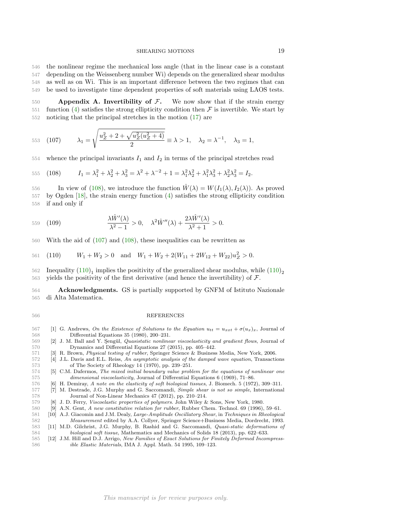the nonlinear regime the mechanical loss angle (that in the linear case is a constant depending on the Weissenberg number Wi) depends on the generalized shear modulus as well as on Wi. This is an important difference between the two regimes that can be used to investigate time dependent properties of soft materials using LAOS tests.

<span id="page-19-11"></span>550 **Appendix A. Invertibility of F.** We now show that if the strain energy function (4) satisfies the strong ellipticity condition then F is invertible. We start by 551 function [\(4\)](#page-3-0) satisfies the strong ellipticity condition then  $\mathcal F$  is invertible. We start by noticing that the principal stretches in the motion (17) are noticing that the principal stretches in the motion  $(17)$  are

<span id="page-19-13"></span>553 (107) 
$$
\lambda_1 = \sqrt{\frac{u_Z^2 + 2 + \sqrt{u_Z^2(u_Z^2 + 4)}}{2}} \equiv \lambda > 1, \quad \lambda_2 = \lambda^{-1}, \quad \lambda_3 = 1,
$$

554 whence the principal invariants  $I_1$  and  $I_2$  in terms of the principal stretches read

<span id="page-19-12"></span>555 (108) 
$$
I_1 = \lambda_1^2 + \lambda_2^2 + \lambda_3^2 = \lambda^2 + \lambda^{-2} + 1 = \lambda_1^2 \lambda_2^2 + \lambda_1^2 \lambda_3^2 + \lambda_2^2 \lambda_3^2 = I_2.
$$

556 In view of [\(108\)](#page-19-12), we introduce the function  $\hat{W}(\lambda) = W(I_1(\lambda), I_2(\lambda))$ . As proved by Ogden [\[18\]](#page-20-2), the strain energy function [\(4\)](#page-3-0) satisfies the strong ellipticity condition if and only if

$$
\frac{\lambda \hat{W}'(\lambda)}{\lambda^2 - 1} > 0, \quad \lambda^2 \hat{W}''(\lambda) + \frac{2\lambda \hat{W}'(\lambda)}{\lambda^2 + 1} > 0.
$$

With the aid of [\(107\)](#page-19-13) and [\(108\)](#page-19-12), these inequalities can be rewritten as

<span id="page-19-14"></span>561 (110)  $W_1 + W_2 > 0$  and  $W_1 + W_2 + 2(W_{11} + 2W_{12} + W_{22})u_Z^2 > 0$ .

Inequality  $(110)_1$  implies the positivity of the generalized shear modulus, while  $(110)_2$  563 yields the positivity of the first derivative (and hence the invertibility) of  $\mathcal{F}$ .

 Acknowledgments. GS is partially supported by GNFM of Istituto Nazionale di Alta Matematica.

#### REFERENCES

- <span id="page-19-9"></span>567 [1] G. Andrews, *On the Existence of Solutions to the Equation*  $u_{tt} = u_{xxt} + \sigma(u_x)_x$ , Journal of 568 Differential Equations 35 (1980), 200–231.<br>569 [2] J. M. Ball and Y. Sengül, *Quasistatic nonline*
- <span id="page-19-3"></span>[2] J. M. Ball and Y. Sengül, *Quasistatic nonlinear viscoelasticity and gradient flows*, Journal of Dynamics and Differential Equations 27 (2015), pp. 405–442.
- <span id="page-19-1"></span>[3] R. Brown, *Physical testing of rubber*, Springer Science & Business Media, New York, 2006.
- [4] J.L. Davis and E.L. Reiss, *An asymptotic analysis of the damped wave equation*, Transactions 573 of The Society of Rheology 14 (1970), pp. 239–251.<br>574 [5] C.M. Dafermos, *The mixed initial boundary value probi*
- <span id="page-19-10"></span> [5] C.M. Dafermos, *The mixed initial boundary value problem for the equations of nonlinear one dimensional viscoelasticity*, Journal of Differential Equations 6 (1969), 71–86.
- <span id="page-19-6"></span><span id="page-19-0"></span>[6] H. Demiray, *A note on the elasticity of soft biological tissues*, J. Biomech. 5 (1972), 309–311.
- [7] M. Destrade, J.G. Murphy and G. Saccomandi, *Simple shear is not so simple*, International Journal of Non-Linear Mechanics 47 (2012), pp. 210–214.
- <span id="page-19-7"></span><span id="page-19-2"></span>[8] J. D. Ferry, *Viscoelastic properties of polymers*. John Wiley & Sons, New York, 1980.
- <span id="page-19-8"></span>[9] A.N. Gent, *A new constitutive relation for rubber*, Rubber Chem. Technol. 69 (1996), 59–61.
- [10] A.J. Giacomin and J.M. Dealy, *Large-Amplitude Oscillatory Shear*, in *Techniques in Rheological Measurement* edited by A.A. Collyer, Springer Science+Business Media, Dordrecht, 1993.
- <span id="page-19-4"></span> [11] M.D. Gilchrist, J.G. Murphy, B. Rashid and G. Saccomandi, *Quasi-static deformations of biological soft tissue*, Mathematics and Mechanics of Solids 18 (2013), pp. 622–633.
- <span id="page-19-5"></span> [12] J.M. Hill and D.J. Arrigo, *New Families of Exact Solutions for Finitely Deformed Incompress-ible Elastic Materials*, IMA J. Appl. Math. 54 1995, 109–123.